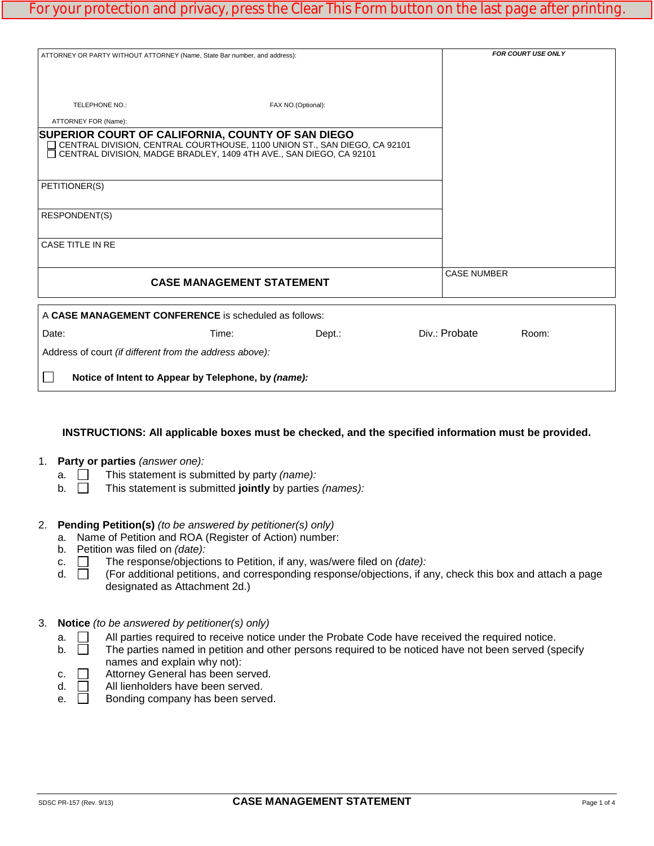| ATTORNEY OR PARTY WITHOUT ATTORNEY (Name, State Bar number, and address):                                                  |                                                     |                                                                           |                    | <b>FOR COURT USE ONLY</b> |
|----------------------------------------------------------------------------------------------------------------------------|-----------------------------------------------------|---------------------------------------------------------------------------|--------------------|---------------------------|
|                                                                                                                            |                                                     |                                                                           |                    |                           |
|                                                                                                                            |                                                     |                                                                           |                    |                           |
| TELEPHONE NO.:                                                                                                             |                                                     | FAX NO.(Optional):                                                        |                    |                           |
| ATTORNEY FOR (Name):                                                                                                       |                                                     |                                                                           |                    |                           |
| SUPERIOR COURT OF CALIFORNIA, COUNTY OF SAN DIEGO<br>□ CENTRAL DIVISION, MADGE BRADLEY, 1409 4TH AVE., SAN DIEGO, CA 92101 |                                                     | CENTRAL DIVISION, CENTRAL COURTHOUSE, 1100 UNION ST., SAN DIEGO, CA 92101 |                    |                           |
| PETITIONER(S)                                                                                                              |                                                     |                                                                           |                    |                           |
| <b>RESPONDENT(S)</b>                                                                                                       |                                                     |                                                                           |                    |                           |
| CASE TITLE IN RE                                                                                                           |                                                     |                                                                           |                    |                           |
|                                                                                                                            | <b>CASE MANAGEMENT STATEMENT</b>                    |                                                                           | <b>CASE NUMBER</b> |                           |
| A CASE MANAGEMENT CONFERENCE is scheduled as follows:                                                                      |                                                     |                                                                           |                    |                           |
| Date:                                                                                                                      | Time:                                               | Dept.:                                                                    | Div.: Probate      | Room:                     |
| Address of court (if different from the address above):                                                                    |                                                     |                                                                           |                    |                           |
|                                                                                                                            | Notice of Intent to Appear by Telephone, by (name): |                                                                           |                    |                           |

#### **INSTRUCTIONS: All applicable boxes must be checked, and the specified information must be provided.**

#### 1. **Party or parties** *(answer one):*

- a.  $\Box$  This statement is submitted by party *(name):*
- b.  $\Box$  This statement is submitted **jointly** by parties *(names):*

### 2. **Pending Petition(s)** *(to be answered by petitioner(s) only)*

- a. Name of Petition and ROA (Register of Action) number:
- b. Petition was filed on *(date):*
- c.  $\Box$  The response/objections to Petition, if any, was/were filed on *(date):*  $\Box$  (For additional petitions, and corresponding response/objections, if a
- (For additional petitions, and corresponding response/objections, if any, check this box and attach a page designated as Attachment 2d.)

#### 3. **Notice** *(to be answered by petitioner(s) only)*

- $a.$   $\Box$  All parties required to receive notice under the Probate Code have received the required notice.
- $b.$  The parties named in petition and other persons required to be noticed have not been served (specify names and explain why not):
- c.  $\Box$  Attorney General has been served.<br>d.  $\Box$  All lienholders have been served.
- $\Box$  All lienholders have been served.<br> $\Box$  Bonding company has been serve
- e. **Bonding company has been served.**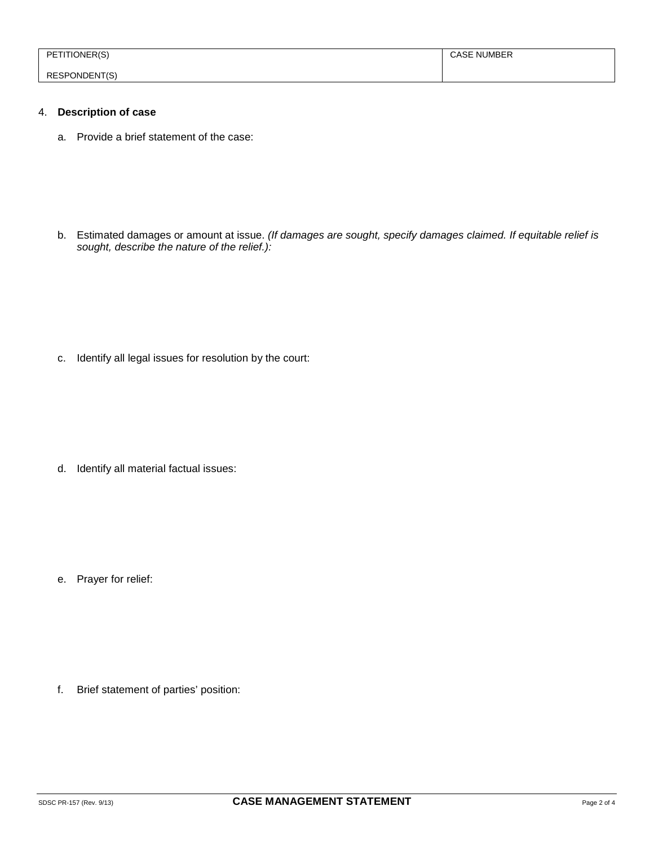| ONERIC.<br>DЕ        | NUMBER<br>NU |
|----------------------|--------------|
|                      |              |
| <b>RESPONDENT(S)</b> |              |

# 4. **Description of case**

a. Provide a brief statement of the case:

b. Estimated damages or amount at issue. *(If damages are sought, specify damages claimed. If equitable relief is sought, describe the nature of the relief.):*

c. Identify all legal issues for resolution by the court:

d. Identify all material factual issues:

e. Prayer for relief:

f. Brief statement of parties' position: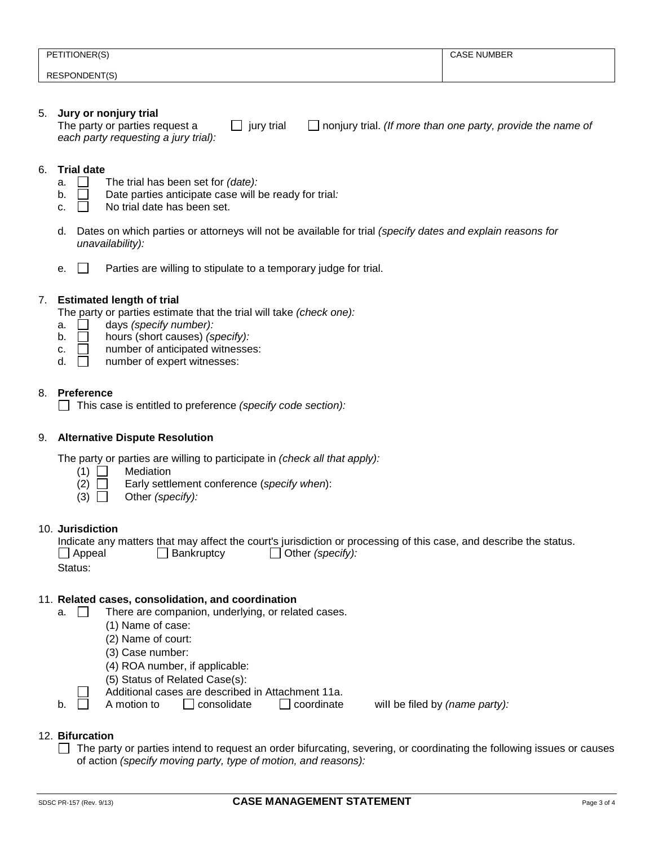| PETITIONER(S) | <b>CASE NUMBER</b> |
|---------------|--------------------|
|               |                    |
|               |                    |
|               |                    |
| RESPONDENT(S) |                    |
|               |                    |

# 5. **Jury or nonjury trial**

 $\Box$  jury trial  $\Box$  nonjury trial. *(If more than one party, provide the name of each party requesting a jury trial):* 

#### 6. **Trial date**

- a.  $\Box$  The trial has been set for *(date):*
- b. Date parties anticipate case will be ready for trial*:*
- c.  $\Box$  No trial date has been set.
- d. Dates on which parties or attorneys will not be available for trial *(specify dates and explain reasons for unavailability):*
- e.  $\Box$  Parties are willing to stipulate to a temporary judge for trial.

## 7. **Estimated length of trial**

The party or parties estimate that the trial will take *(check one):*

- a.  $\Box$  days *(specify number):*<br>b.  $\Box$  hours *(short causes) <i>(si*
- b. hours (short causes) *(specify):*
- c.  $\Box$  number of anticipated witnesses:
- $d.$   $\Box$  number of expert witnesses:

# 8. **Preference**

This case is entitled to preference *(specify code section):* 

#### 9. **Alternative Dispute Resolution**

The party or parties are willing to participate in *(check all that apply):*

- $(1)$  Mediation
- (2) Early settlement conference (*specify when*):
- (3) Other *(specify):*

#### 10. **Jurisdiction**

|               |            | Indicate any matters that may affect the court's jurisdiction or processing of this case, and describe the status. |  |
|---------------|------------|--------------------------------------------------------------------------------------------------------------------|--|
| $\Box$ Appeal | Bankruptcy | Other (specify):                                                                                                   |  |
| Status:       |            |                                                                                                                    |  |

#### 11. **Related cases, consolidation, and coordination**

- $a.$  There are companion, underlying, or related cases.
	- (1) Name of case:
	- (2) Name of court:
	- (3) Case number:
	- (4) ROA number, if applicable:
	- (5) Status of Related Case(s):
	- Additional cases are described in Attachment 11a.<br>A motion to  $\Box$  consolidate  $\Box$  coordinate
	- b.  $\Box$  A motion to  $\Box$  consolidate  $\Box$  coordinate will be filed by *(name party):*

#### 12. **Bifurcation**

 $\Box$  The party or parties intend to request an order bifurcating, severing, or coordinating the following issues or causes of action *(specify moving party, type of motion, and reasons):*